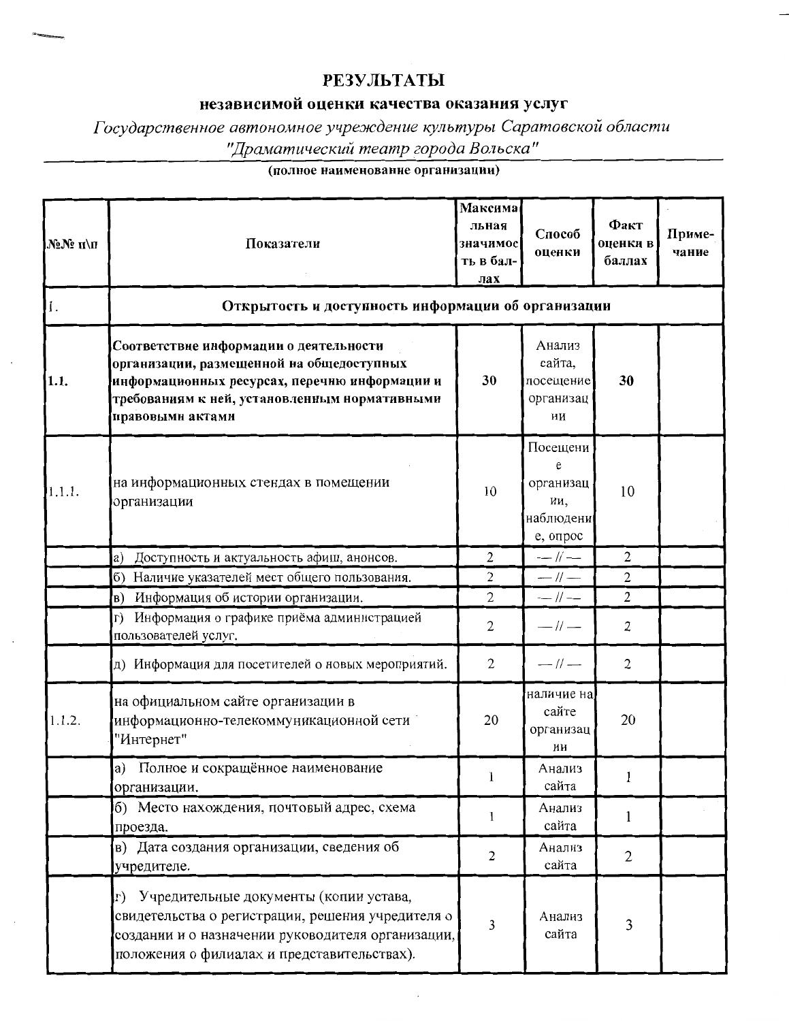## **РЕЗУЛЬТАТЫ**

## независимой оценки качества оказания услуг

Государственное автономное учреждение культуры Саратовской области "Драматический театр города Вольска"

## (полное наименование организации)

| №№ п\п | Показатели                                                                                                                                                                                                | Максима<br>льная<br>значимос<br>ть в бал-<br>лах | Способ<br>оценки                                           | Факт<br>оценки в<br>баллах | Приме-<br>чание |  |  |
|--------|-----------------------------------------------------------------------------------------------------------------------------------------------------------------------------------------------------------|--------------------------------------------------|------------------------------------------------------------|----------------------------|-----------------|--|--|
| 1.     | Открытость и доступность информации об организации                                                                                                                                                        |                                                  |                                                            |                            |                 |  |  |
| 1.1.   | Соответствие информации о деятельности<br>организации, размещенной на общедоступных<br>информационных ресурсах, перечню информации и<br>требованиям к ней, установленным нормативными<br>правовыми актами | 30                                               | Анализ<br>сайта,<br>посещение<br>организац<br>ии           | 30                         |                 |  |  |
| 1.1.1. | на информационных стендах в помещении<br>организации                                                                                                                                                      | 10                                               | Посещени<br>e<br>организац<br>ии,<br>наблюдени<br>е, опрос | 10                         |                 |  |  |
|        | Доступность и актуальность афиш, анонсов.<br>a)                                                                                                                                                           | 2                                                | $-1/$                                                      | $\overline{2}$             |                 |  |  |
|        | Наличие указателей мест общего пользования.<br>$\sigma$                                                                                                                                                   | $\overline{2}$                                   | $-    -$                                                   | $\mathbf{2}$               |                 |  |  |
|        | Информация об истории организации.<br> B)                                                                                                                                                                 | $\overline{c}$                                   | $-$ // $-$                                                 | $\overline{2}$             |                 |  |  |
|        | Информация о графике приёма администрацией<br>L)<br>пользователей услуг.                                                                                                                                  | 2                                                | $-$ // $-$                                                 | $\overline{2}$             |                 |  |  |
|        | д) Информация для посетителей о новых мероприятий.                                                                                                                                                        | $\mathbf{2}$                                     | $-$ // $-$                                                 | $\overline{2}$             |                 |  |  |
| 1.1.2. | на официальном сайте организации в<br>информационно-телекоммуникационной сети<br>"Интернет"                                                                                                               | 20                                               | наличие на<br>сайте<br>организац<br>ИИ                     | 20                         |                 |  |  |
|        | а) Полное и сокращённое наименование<br>организации.                                                                                                                                                      | l                                                | Анализ<br>сайта                                            | 1                          |                 |  |  |
|        | б) Место нахождения, почтовый адрес, схема<br>проезда.                                                                                                                                                    | 1                                                | Анализ<br>сайта                                            | 1                          |                 |  |  |
|        | в) Дата создания организации, сведения об<br>учредителе.                                                                                                                                                  | 2                                                | <b>Анализ</b><br>сайта                                     | $\mathbf{2}$               |                 |  |  |
|        | Учредительные документы (копии устава,<br>Γ)<br>свидетельства о регистрации, решения учредителя о<br>создании и о назначении руководителя организации,<br>положения о филиалах и представительствах).     | 3                                                | Анализ<br>сайта                                            | 3                          |                 |  |  |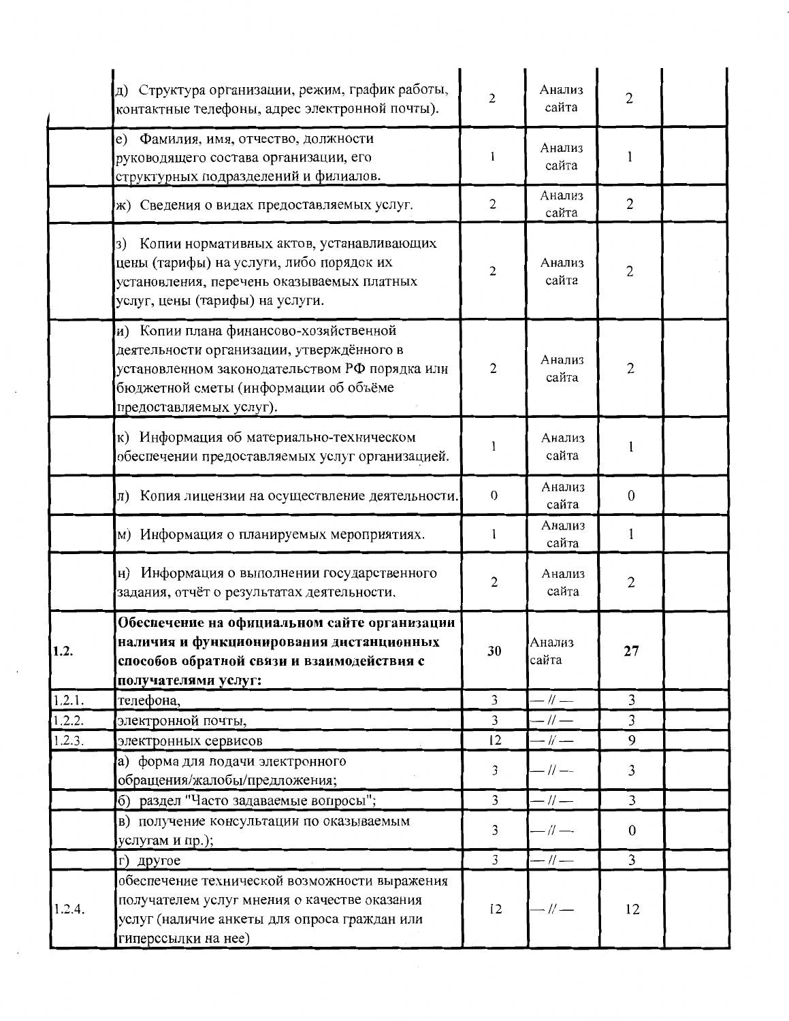|        | д) Структура организации, режим, график работы,<br>контактные телефоны, адрес электронной почты).                                                                                                         | 2              | Анализ<br>сайта | $\overline{c}$   |  |
|--------|-----------------------------------------------------------------------------------------------------------------------------------------------------------------------------------------------------------|----------------|-----------------|------------------|--|
|        | е) Фамилия, имя, отчество, должности<br>руководящего состава организации, его<br>структурных подразделений и филиалов.                                                                                    | 1              | Анализ<br>сайта | 1                |  |
|        | ж) Сведения о видах предоставляемых услуг.                                                                                                                                                                | $\overline{2}$ | Анализ<br>сайта | $\overline{2}$   |  |
|        | Копии нормативных актов, устанавливающих<br>3)<br>цены (тарифы) на услуги, либо порядок их<br>установления, перечень оказываемых платных<br>услуг, цены (тарифы) на услуги.                               | $\overline{2}$ | Анализ<br>сайта | 2                |  |
|        | и) Копии плана финансово-хозяйственной<br>деятельности организации, утверждённого в<br>установленном законодательством РФ порядка или<br>бюджетной сметы (информации об объёме<br>предоставляемых услуг). | $\overline{2}$ | Анализ<br>сайта | $\overline{2}$   |  |
|        | к) Информация об материально-техническом<br>обеспечении предоставляемых услуг организацией.                                                                                                               |                | Анализ<br>сайта | 1                |  |
|        | л) Копия лицензии на осуществление деятельности.                                                                                                                                                          | $\mathbf{0}$   | Анализ<br>сайта | $\mathbf{0}$     |  |
|        | м) Информация о планируемых мероприятиях.                                                                                                                                                                 | 1              | Анализ<br>сайта | 1                |  |
|        | н) Информация о выполнении государственного<br>задания, отчёт о результатах деятельности.                                                                                                                 | $\overline{2}$ | Анализ<br>сайта | $\overline{c}$   |  |
| 1.4.   | Обеспечение на официальном сайте организации<br>наличия и функционирования дистанционных<br>способов обратной связи и взаимодействия с<br>получателями услуг:                                             | 30             | Анализ<br>сайта | 27               |  |
| 1.2.1. | телефона,                                                                                                                                                                                                 | 3              | $-1/$           | $\mathfrak{Z}$   |  |
| 1.2.2. | электронной почты,                                                                                                                                                                                        | $\overline{3}$ | $-1/$ —         | $\overline{3}$   |  |
| 1.2.3. | электронных сервисов                                                                                                                                                                                      | 12             | $-$ // $-$      | 9                |  |
|        | а) форма для подачи электронного<br>обращения/жалобы/предложения;                                                                                                                                         | 3              | $-1/$           | 3                |  |
|        | б) раздел "Часто задаваемые вопросы";                                                                                                                                                                     | 3              | $-$ // $-$      | $\overline{3}$   |  |
|        | в) получение консультации по оказываемым<br>услугам и пр.);                                                                                                                                               | 3              | $-$ // $-$      | $\boldsymbol{0}$ |  |
|        | г) другое                                                                                                                                                                                                 | $\overline{3}$ | $-$ // $-$      | $\overline{3}$   |  |
| 1.2.4. | обеспечение технической возможности выражения<br>получателем услуг мнения о качестве оказания<br>услуг (наличие анкеты для опроса граждан или<br>гиперссылки на нее)                                      | 12             | - // —          | 12               |  |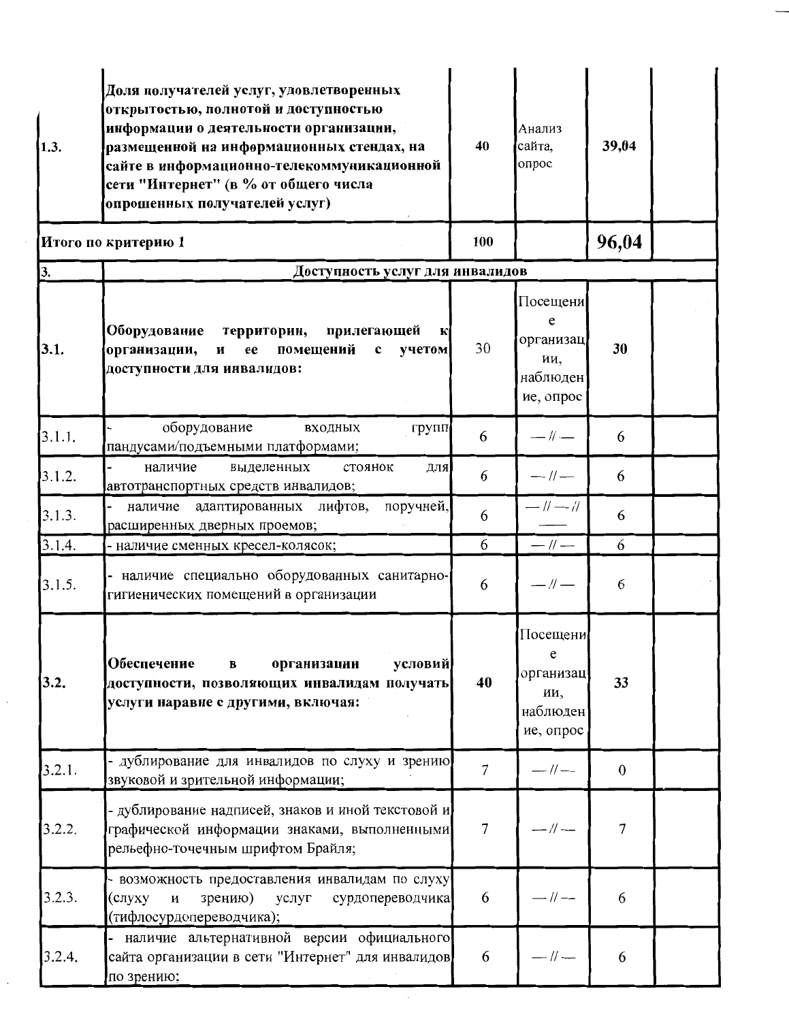| 1.3.   | Доля получателей услуг, удовлетворенных<br>открытостью, полнотой и доступностью<br>информации о деятельности организации,<br>размещенной на информационных стендах, на<br>сайте в информационно-телекоммуникационной<br>сети "Интернет" (в % от общего числа<br>опрошенных получателей услуг) | 40             | Анализ<br>сайта,<br>опрос                                  | 39,04            |  |
|--------|-----------------------------------------------------------------------------------------------------------------------------------------------------------------------------------------------------------------------------------------------------------------------------------------------|----------------|------------------------------------------------------------|------------------|--|
|        | Итого по критерию 1                                                                                                                                                                                                                                                                           |                |                                                            | 96,04            |  |
| 3.     | Доступность услуг для инвалидов                                                                                                                                                                                                                                                               |                |                                                            |                  |  |
| 3.1.   | Оборудование<br>прилегающей<br>территории,<br>$\bf K$<br>помещений<br>организации,<br>$\mathbf c$<br>учетом<br>И<br>ee<br>доступности для инвалидов:                                                                                                                                          | 30             | Посещени<br>e<br>организац<br>ии,<br>наблюден<br>ие, опрос | 30               |  |
| 3.1.1. | оборудование<br>входных<br>групп<br>пандусами/подъемными платформами;                                                                                                                                                                                                                         | 6              | $-$ // $-$                                                 | 6                |  |
| 3.1.2. | выделенных<br>стоянок<br>наличие<br>для<br>автотранспортных средств инвалидов;                                                                                                                                                                                                                | 6              | $-$ // $-$                                                 | 6                |  |
| 3.1.3. | лифтов,<br>поручней,<br>наличие адаптированных<br>расширенных дверных проемов;                                                                                                                                                                                                                | 6              | $-11-11$                                                   | 6                |  |
| 3.1.4. | - наличие сменных кресел-колясок;                                                                                                                                                                                                                                                             | 6              | $-$ // $-$                                                 | 6                |  |
| 3.1.5. | наличие специально оборудованных санитарно-<br>гигиенических помещений в организации                                                                                                                                                                                                          | 6              | $-$ // $-$                                                 | 6                |  |
| 3.2.   | Обеспечение<br>условий<br>организации<br>$\bf{B}$<br>доступности, позволяющих инвалидам получать<br>услуги наравне с другими, включая:                                                                                                                                                        | 40             | Посещени<br>e<br>организац<br>ии,<br>наблюден<br>ие, опрос | 33               |  |
| 3.2.1. | дублирование для инвалидов по слуху и зрению<br>звуковой и зрительной информации;                                                                                                                                                                                                             | $\overline{7}$ | $-1/$                                                      | $\boldsymbol{0}$ |  |
| 3.2.2. | - дублирование надписей, знаков и иной текстовой и<br>графической информации знаками, выполненными<br>рельефно-точечным шрифтом Брайля;                                                                                                                                                       | $\overline{7}$ | $-$ // $-$                                                 | 7                |  |
| 3.2.3. | - возможность предоставления инвалидам по слуху<br>(слуху<br>зрению)<br>сурдопереводчика<br>услуг<br>И<br>(тифлосурдопереводчика);                                                                                                                                                            | 6              | $-$ // $-$                                                 | 6                |  |
| 3.2.4. | - наличие альтернативной версии официального<br>сайта организации в сети "Интернет" для инвалидов<br>по зрению;                                                                                                                                                                               | 6              | — // —                                                     | 6                |  |

 $\overline{\phantom{a}}$